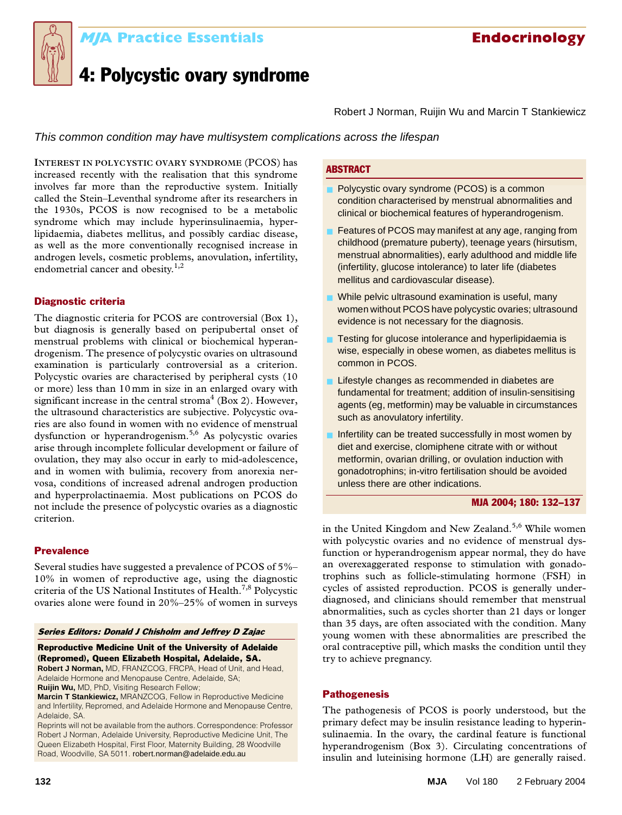

**Endocrinology MJA Practice Essentials MJA Practice Essentials Endocrinology**

# 4: Polycystic ovary syndrome

Robert J Norman, Ruijin Wu and Marcin T Stankiewicz

# This common condition may have multisystem complications across the lifespan

called the Stein-Leventhal syndrome after its researchers in the 1930s, PCOS is now recognised to be a metabolic syndrome which may include hyperinsulinaemia, hyperlipidaemia, diabetes mellitus, and possibly cardiac disease, **INTEREST IN POLYCYSTIC OVARY SYNDROME** (PCOS) has increased recently with the realisation that this syndrome involves far more than the reproductive system. Initially as well as the more conventionally recognised increase in androgen levels, cosmetic problems, anovulation, infertility, endometrial cancer and obesity.<sup>1,2</sup>

# Diagnostic criteria

The diagnostic criteria for PCOS are controversial (Box 1), but diagnosis is generally based on peripubertal onset of menstrual problems with clinical or biochemical hyperandrogenism. The presence of polycystic ovaries on ultrasound examination is particularly controversial as a criterion. Polycystic ovaries are characterised by peripheral cysts (10 or more) less than 10 mm in size in an enlarged ovary with significant increase in the central stroma<sup>4</sup> (Box 2). However, the ultrasound characteristics are subjective. Polycystic ovaries are also found in women with no evidence of menstrual dysfunction or hyperandrogenism.<sup>5,6</sup> As polycystic ovaries arise through incomplete follicular development or failure of ovulation, they may also occur in early to mid-adolescence, and in women with bulimia, recovery from anorexia nervosa, conditions of increased adrenal androgen production and hyperprolactinaemia. Most publications on PCOS do not include the presence of polycystic ovaries as a diagnostic criterion.

# **Prevalence**

Several studies have suggested a prevalence of PCOS of 5%– 10% in women of reproductive age, using the diagnostic criteria of the US National Institutes of Health.<sup>7,8</sup> Polycystic ovaries alone were found in 20%–25% of women in surveys

Series Editors: Donald J Chisholm and Jeffrey D Zajac

Reproductive Medicine Unit of the University of Adelaide (Repromed), Queen Elizabeth Hospital, Adelaide, SA. **Robert J Norman,** MD, FRANZCOG, FRCPA, Head of Unit, and Head, Adelaide Hormone and Menopause Centre, Adelaide, SA; **Ruijin Wu,** MD, PhD, Visiting Research Fellow;

# **ABSTRACT**

- Polycystic ovary syndrome (PCOS) is a common condition characterised by menstrual abnormalities and clinical or biochemical features of hyperandrogenism.
- Features of PCOS may manifest at any age, ranging from childhood (premature puberty), teenage years (hirsutism, menstrual abnormalities), early adulthood and middle life (infertility, glucose intolerance) to later life (diabetes mellitus and cardiovascular disease).
- While pelvic ultrasound examination is useful, many women without PCOS have polycystic ovaries; ultrasound evidence is not necessary for the diagnosis.
- Testing for glucose intolerance and hyperlipidaemia is wise, especially in obese women, as diabetes mellitus is common in PCOS.
- Lifestyle changes as recommended in diabetes are fundamental for treatment; addition of insulin-sensitising agents (eg, metformin) may be valuable in circumstances such as anovulatory infertility.
- Infertility can be treated successfully in most women by diet and exercise, clomiphene citrate with or without metformin, ovarian drilling, or ovulation induction with gonadotrophins; in-vitro fertilisation should be avoided unless there are other indications.

# MJA 2004; 180: 132–137

in the United Kingdom and New Zealand.<sup>5,6</sup> While women with polycystic ovaries and no evidence of menstrual dysfunction or hyperandrogenism appear normal, they do have an overexaggerated response to stimulation with gonadotrophins such as follicle-stimulating hormone (FSH) in cycles of assisted reproduction. PCOS is generally underdiagnosed, and clinicians should remember that menstrual abnormalities, such as cycles shorter than 21 days or longer than 35 days, are often associated with the condition. Many young women with these abnormalities are prescribed the oral contraceptive pill, which masks the condition until they try to achieve pregnancy.

# **Pathogenesis**

The pathogenesis of PCOS is poorly understood, but the primary defect may be insulin resistance leading to hyperinsulinaemia. In the ovary, the cardinal feature is functional hyperandrogenism (Box 3). Circulating concentrations of insulin and luteinising hormone (LH) are generally raised.

**Marcin T Stankiewicz,** MRANZCOG, Fellow in Reproductive Medicine and Infertility, Repromed, and Adelaide Hormone and Menopause Centre, Adelaide, SA.

Reprints will not be available from the authors. Correspondence: Professor Robert J Norman, Adelaide University, Reproductive Medicine Unit, The Queen Elizabeth Hospital, First Floor, Maternity Building, 28 Woodville Road, Woodville, SA 5011. robert.norman@adelaide.edu.au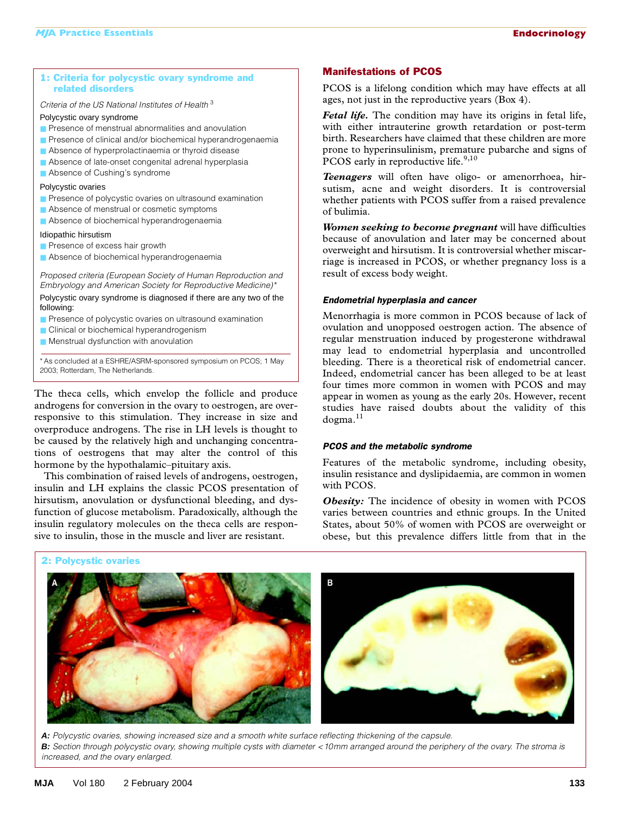

■ Menstrual dysfunction with anovulation

\* As concluded at a ESHRE/ASRM-sponsored symposium on PCOS; 1 May 2003; Rotterdam, The Netherlands.

The theca cells, which envelop the follicle and produce androgens for conversion in the ovary to oestrogen, are overresponsive to this stimulation. They increase in size and overproduce androgens. The rise in LH levels is thought to be caused by the relatively high and unchanging concentrations of oestrogens that may alter the control of this hormone by the hypothalamic–pituitary axis.

This combination of raised levels of androgens, oestrogen, insulin and LH explains the classic PCOS presentation of hirsutism, anovulation or dysfunctional bleeding, and dysfunction of glucose metabolism. Paradoxically, although the insulin regulatory molecules on the theca cells are responsive to insulin, those in the muscle and liver are resistant.

# Manifestations of PCOS

PCOS is a lifelong condition which may have effects at all ages, not just in the reproductive years (Box 4).

Fetal life. The condition may have its origins in fetal life, with either intrauterine growth retardation or post-term birth. Researchers have claimed that these children are more prone to hyperinsulinism, premature pubarche and signs of PCOS early in reproductive life.<sup>9,10</sup>

*Teenagers* will often have oligo- or amenorrhoea, hirsutism, acne and weight disorders. It is controversial whether patients with PCOS suffer from a raised prevalence of bulimia.

*Women seeking to become pregnant* will have difficulties because of anovulation and later may be concerned about overweight and hirsutism. It is controversial whether miscarriage is increased in PCOS, or whether pregnancy loss is a result of excess body weight.

#### *Endometrial hyperplasia and cancer*

Menorrhagia is more common in PCOS because of lack of ovulation and unopposed oestrogen action. The absence of regular menstruation induced by progesterone withdrawal may lead to endometrial hyperplasia and uncontrolled bleeding. There is a theoretical risk of endometrial cancer. Indeed, endometrial cancer has been alleged to be at least four times more common in women with PCOS and may appear in women as young as the early 20s. However, recent studies have raised doubts about the validity of this dogma.<sup>11</sup>

#### *PCOS and the metabolic syndrome*

Features of the metabolic syndrome, including obesity, insulin resistance and dyslipidaemia, are common in women with PCOS.

*Obesity:* The incidence of obesity in women with PCOS varies between countries and ethnic groups. In the United States, about 50% of women with PCOS are overweight or obese, but this prevalence differs little from that in the



**A:** *Polycystic ovaries, showing increased size and a smooth white surface reflecting thickening of the capsule.* **B:** *Section through polycystic ovary, showing multiple cysts with diameter <10mm arranged around the periphery of the ovary. The stroma is increased, and the ovary enlarged.*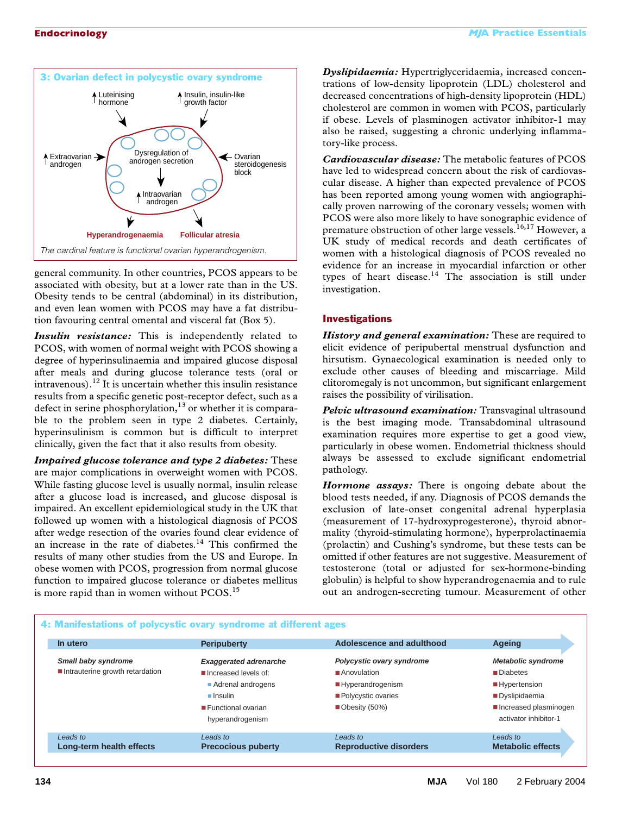

general community. In other countries, PCOS appears to be associated with obesity, but at a lower rate than in the US. Obesity tends to be central (abdominal) in its distribution, and even lean women with PCOS may have a fat distribution favouring central omental and visceral fat (Box 5).

**Insulin resistance:** This is independently related to PCOS, with women of normal weight with PCOS showing a degree of hyperinsulinaemia and impaired glucose disposal after meals and during glucose tolerance tests (oral or intravenous).12 It is uncertain whether this insulin resistance results from a specific genetic post-receptor defect, such as a defect in serine phosphorylation, $13$  or whether it is comparable to the problem seen in type 2 diabetes. Certainly, hyperinsulinism is common but is difficult to interpret clinically, given the fact that it also results from obesity.

*Impaired glucose tolerance and type 2 diabetes:* These are major complications in overweight women with PCOS. While fasting glucose level is usually normal, insulin release after a glucose load is increased, and glucose disposal is impaired. An excellent epidemiological study in the UK that followed up women with a histological diagnosis of PCOS after wedge resection of the ovaries found clear evidence of an increase in the rate of diabetes.<sup>14</sup> This confirmed the results of many other studies from the US and Europe. In obese women with PCOS, progression from normal glucose function to impaired glucose tolerance or diabetes mellitus is more rapid than in women without PCOS.<sup>15</sup>

*Dyslipidaemia:* Hypertriglyceridaemia, increased concentrations of low-density lipoprotein (LDL) cholesterol and decreased concentrations of high-density lipoprotein (HDL) cholesterol are common in women with PCOS, particularly if obese. Levels of plasminogen activator inhibitor-1 may also be raised, suggesting a chronic underlying inflammatory-like process.

*Cardiovascular disease:* The metabolic features of PCOS have led to widespread concern about the risk of cardiovascular disease. A higher than expected prevalence of PCOS has been reported among young women with angiographically proven narrowing of the coronary vessels; women with PCOS were also more likely to have sonographic evidence of premature obstruction of other large vessels.<sup>16,17</sup> However, a UK study of medical records and death certificates of women with a histological diagnosis of PCOS revealed no evidence for an increase in myocardial infarction or other types of heart disease.<sup>14</sup> The association is still under investigation.

### Investigations

*History and general examination:* These are required to elicit evidence of peripubertal menstrual dysfunction and hirsutism. Gynaecological examination is needed only to exclude other causes of bleeding and miscarriage. Mild clitoromegaly is not uncommon, but significant enlargement raises the possibility of virilisation.

*Pelvic ultrasound examination:* Transvaginal ultrasound is the best imaging mode. Transabdominal ultrasound examination requires more expertise to get a good view, particularly in obese women. Endometrial thickness should always be assessed to exclude significant endometrial pathology.

*Hormone assays:* There is ongoing debate about the blood tests needed, if any. Diagnosis of PCOS demands the exclusion of late-onset congenital adrenal hyperplasia (measurement of 17-hydroxyprogesterone), thyroid abnormality (thyroid-stimulating hormone), hyperprolactinaemia (prolactin) and Cushing's syndrome, but these tests can be omitted if other features are not suggestive. Measurement of testosterone (total or adjusted for sex-hormone-binding globulin) is helpful to show hyperandrogenaemia and to rule out an androgen-secreting tumour. Measurement of other

| 4: Manifestations of polycystic ovary syndrome at different ages                                                      |                              |                                      |
|-----------------------------------------------------------------------------------------------------------------------|------------------------------|--------------------------------------|
| <b>Peripuberty</b>                                                                                                    | Adolescence and adulthood    | <b>Ageing</b>                        |
| <b>Exaggerated adrenarche</b>                                                                                         | Polycystic ovary syndrome    | <b>Metabolic syndrome</b>            |
| Intrauterine growth retardation<br>$\blacksquare$ Increased levels of:<br>Adrenal androgens<br>$\blacksquare$ Insulin | Anovulation                  | Diabetes                             |
|                                                                                                                       | ■ Hyperandrogenism           | ■ Hypertension                       |
|                                                                                                                       | Polycystic ovaries           | Dyslipidaemia                        |
| $\blacksquare$ Functional ovarian                                                                                     | $\blacksquare$ Obesity (50%) | Increased plasminogen                |
| hyperandrogenism                                                                                                      |                              | activator inhibitor-1                |
| Leads to                                                                                                              | Leads to                     | Leads to<br><b>Metabolic effects</b> |
|                                                                                                                       | <b>Precocious puberty</b>    | <b>Reproductive disorders</b>        |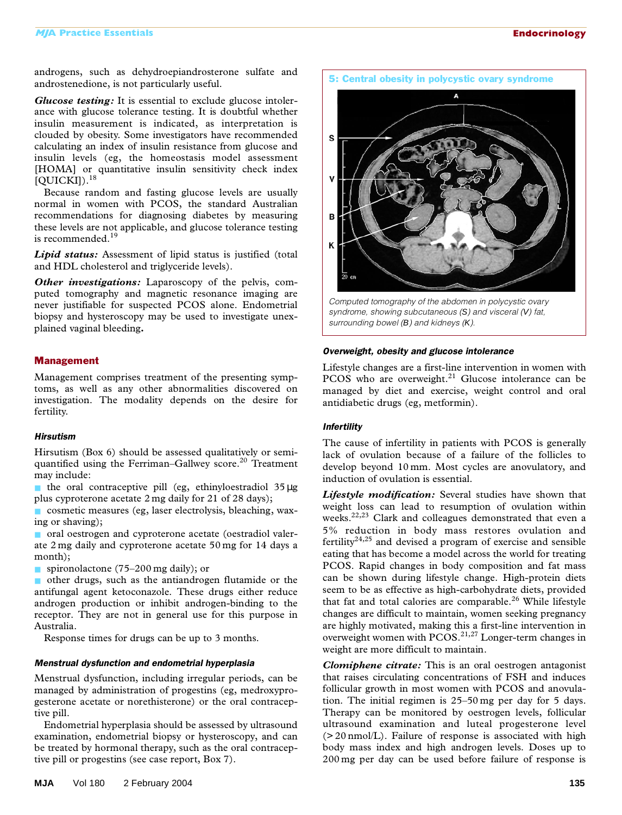androgens, such as dehydroepiandrosterone sulfate and androstenedione, is not particularly useful.

*Glucose testing:* It is essential to exclude glucose intolerance with glucose tolerance testing. It is doubtful whether insulin measurement is indicated, as interpretation is clouded by obesity. Some investigators have recommended calculating an index of insulin resistance from glucose and insulin levels (eg, the homeostasis model assessment [HOMA] or quantitative insulin sensitivity check index  $[QUICKI]$ ). $^{18}$ 

Because random and fasting glucose levels are usually normal in women with PCOS, the standard Australian recommendations for diagnosing diabetes by measuring these levels are not applicable, and glucose tolerance testing is recommended.<sup>19</sup>

*Lipid status:* Assessment of lipid status is justified (total and HDL cholesterol and triglyceride levels).

*Other investigations:* Laparoscopy of the pelvis, computed tomography and magnetic resonance imaging are never justifiable for suspected PCOS alone. Endometrial biopsy and hysteroscopy may be used to investigate unexplained vaginal bleeding**.**

#### Management

Management comprises treatment of the presenting symptoms, as well as any other abnormalities discovered on investigation. The modality depends on the desire for fertility.

#### *Hirsutism*

Hirsutism (Box 6) should be assessed qualitatively or semiquantified using the Ferriman–Gallwey score.<sup>20</sup> Treatment may include:

■ the oral contraceptive pill (eg, ethinyloestradiol 35 µg plus cyproterone acetate 2 mg daily for 21 of 28 days);

■ cosmetic measures (eg, laser electrolysis, bleaching, waxing or shaving);

■ oral oestrogen and cyproterone acetate (oestradiol valerate 2 mg daily and cyproterone acetate 50 mg for 14 days a month);

■ spironolactone (75–200 mg daily); or

■ other drugs, such as the antiandrogen flutamide or the antifungal agent ketoconazole. These drugs either reduce androgen production or inhibit androgen-binding to the receptor. They are not in general use for this purpose in Australia.

Response times for drugs can be up to 3 months.

### *Menstrual dysfunction and endometrial hyperplasia*

Menstrual dysfunction, including irregular periods, can be managed by administration of progestins (eg, medroxyprogesterone acetate or norethisterone) or the oral contraceptive pill.

Endometrial hyperplasia should be assessed by ultrasound examination, endometrial biopsy or hysteroscopy, and can be treated by hormonal therapy, such as the oral contraceptive pill or progestins (see case report, Box 7).



*Computed tomography of the abdomen in polycystic ovary syndrome, showing subcutaneous (*S*) and visceral (*V*) fat, surrounding bowel (*B*) and kidneys (*K*).*

#### *Overweight, obesity and glucose intolerance*

Lifestyle changes are a first-line intervention in women with PCOS who are overweight.<sup>21</sup> Glucose intolerance can be managed by diet and exercise, weight control and oral antidiabetic drugs (eg, metformin).

### *Infertility*

The cause of infertility in patients with PCOS is generally lack of ovulation because of a failure of the follicles to develop beyond 10 mm. Most cycles are anovulatory, and induction of ovulation is essential.

*Lifestyle modification:* Several studies have shown that weight loss can lead to resumption of ovulation within weeks.22,23 Clark and colleagues demonstrated that even a 5% reduction in body mass restores ovulation and fertility<sup>24,25</sup> and devised a program of exercise and sensible eating that has become a model across the world for treating PCOS. Rapid changes in body composition and fat mass can be shown during lifestyle change. High-protein diets seem to be as effective as high-carbohydrate diets, provided that fat and total calories are comparable.<sup>26</sup> While lifestyle changes are difficult to maintain, women seeking pregnancy are highly motivated, making this a first-line intervention in overweight women with PCOS.<sup>21,27</sup> Longer-term changes in weight are more difficult to maintain.

*Clomiphene citrate:* This is an oral oestrogen antagonist that raises circulating concentrations of FSH and induces follicular growth in most women with PCOS and anovulation. The initial regimen is 25–50 mg per day for 5 days. Therapy can be monitored by oestrogen levels, follicular ultrasound examination and luteal progesterone level (> 20 nmol/L). Failure of response is associated with high body mass index and high androgen levels. Doses up to 200 mg per day can be used before failure of response is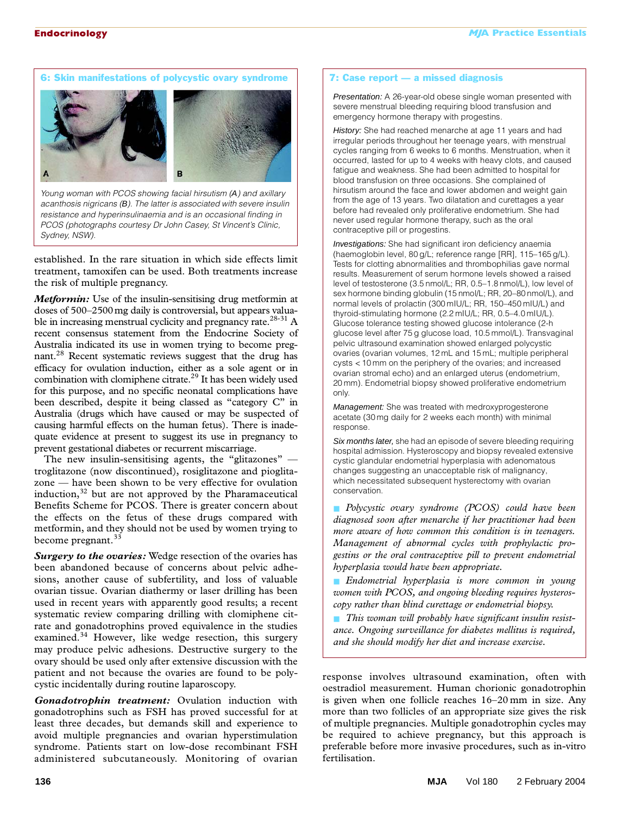

*Young woman with PCOS showing facial hirsutism (*A*) and axillary acanthosis nigricans (*B*). The latter is associated with severe insulin resistance and hyperinsulinaemia and is an occasional finding in PCOS (photographs courtesy Dr John Casey, St Vincent's Clinic, Sydney, NSW).*

established. In the rare situation in which side effects limit treatment, tamoxifen can be used. Both treatments increase the risk of multiple pregnancy.

*Metformin:* Use of the insulin-sensitising drug metformin at doses of 500–2500mg daily is controversial, but appears valuable in increasing menstrual cyclicity and pregnancy rate.<sup>28-31</sup> A recent consensus statement from the Endocrine Society of Australia indicated its use in women trying to become pregnant.28 Recent systematic reviews suggest that the drug has efficacy for ovulation induction, either as a sole agent or in combination with clomiphene citrate.29 It has been widely used for this purpose, and no specific neonatal complications have been described, despite it being classed as "category C" in Australia (drugs which have caused or may be suspected of causing harmful effects on the human fetus). There is inadequate evidence at present to suggest its use in pregnancy to prevent gestational diabetes or recurrent miscarriage.

The new insulin-sensitising agents, the "glitazones" troglitazone (now discontinued), rosiglitazone and pioglitazone — have been shown to be very effective for ovulation induction, $32$  but are not approved by the Pharamaceutical Benefits Scheme for PCOS. There is greater concern about the effects on the fetus of these drugs compared with metformin, and they should not be used by women trying to become pregnant.<sup>33</sup>

*Surgery to the ovaries:* Wedge resection of the ovaries has been abandoned because of concerns about pelvic adhesions, another cause of subfertility, and loss of valuable ovarian tissue. Ovarian diathermy or laser drilling has been used in recent years with apparently good results; a recent systematic review comparing drilling with clomiphene citrate and gonadotrophins proved equivalence in the studies examined.<sup>34</sup> However, like wedge resection, this surgery may produce pelvic adhesions. Destructive surgery to the ovary should be used only after extensive discussion with the patient and not because the ovaries are found to be polycystic incidentally during routine laparoscopy.

*Gonadotrophin treatment:* Ovulation induction with gonadotrophins such as FSH has proved successful for at least three decades, but demands skill and experience to avoid multiple pregnancies and ovarian hyperstimulation syndrome. Patients start on low-dose recombinant FSH administered subcutaneously. Monitoring of ovarian

#### 7: Case report — a missed diagnosis

Presentation: A 26-year-old obese single woman presented with severe menstrual bleeding requiring blood transfusion and emergency hormone therapy with progestins.

History: She had reached menarche at age 11 years and had irregular periods throughout her teenage years, with menstrual cycles ranging from 6 weeks to 6 months. Menstruation, when it occurred, lasted for up to 4 weeks with heavy clots, and caused fatigue and weakness. She had been admitted to hospital for blood transfusion on three occasions. She complained of hirsutism around the face and lower abdomen and weight gain from the age of 13 years. Two dilatation and curettages a year before had revealed only proliferative endometrium. She had never used regular hormone therapy, such as the oral contraceptive pill or progestins.

Investigations: She had significant iron deficiency anaemia (haemoglobin level, 80 g/L; reference range [RR], 115–165 g/L). Tests for clotting abnormalities and thrombophilias gave normal results. Measurement of serum hormone levels showed a raised level of testosterone (3.5 nmol/L; RR, 0.5–1.8 nmol/L), low level of sex hormone binding globulin (15 nmol/L; RR, 20–80 nmol/L), and normal levels of prolactin (300 mIU/L; RR, 150–450 mIU/L) and thyroid-stimulating hormone (2.2 mIU/L; RR, 0.5–4.0 mIU/L). Glucose tolerance testing showed glucose intolerance (2-h glucose level after 75 g glucose load, 10.5 mmol/L). Transvaginal pelvic ultrasound examination showed enlarged polycystic ovaries (ovarian volumes, 12 mL and 15 mL; multiple peripheral cysts < 10 mm on the periphery of the ovaries; and increased ovarian stromal echo) and an enlarged uterus (endometrium, 20 mm). Endometrial biopsy showed proliferative endometrium only.

Management: She was treated with medroxyprogesterone acetate (30 mg daily for 2 weeks each month) with minimal response.

Six months later, she had an episode of severe bleeding requiring hospital admission. Hysteroscopy and biopsy revealed extensive cystic glandular endometrial hyperplasia with adenomatous changes suggesting an unacceptable risk of malignancy, which necessitated subsequent hysterectomy with ovarian conservation.

■ *Polycystic ovary syndrome (PCOS) could have been diagnosed soon after menarche if her practitioner had been more aware of how common this condition is in teenagers. Management of abnormal cycles with prophylactic progestins or the oral contraceptive pill to prevent endometrial hyperplasia would have been appropriate.*

■ *Endometrial hyperplasia is more common in young women with PCOS, and ongoing bleeding requires hysteroscopy rather than blind curettage or endometrial biopsy.*

This woman will probably have significant insulin resist*ance. Ongoing surveillance for diabetes mellitus is required, and she should modify her diet and increase exercise.*

response involves ultrasound examination, often with oestradiol measurement. Human chorionic gonadotrophin is given when one follicle reaches 16–20 mm in size. Any more than two follicles of an appropriate size gives the risk of multiple pregnancies. Multiple gonadotrophin cycles may be required to achieve pregnancy, but this approach is preferable before more invasive procedures, such as in-vitro fertilisation.